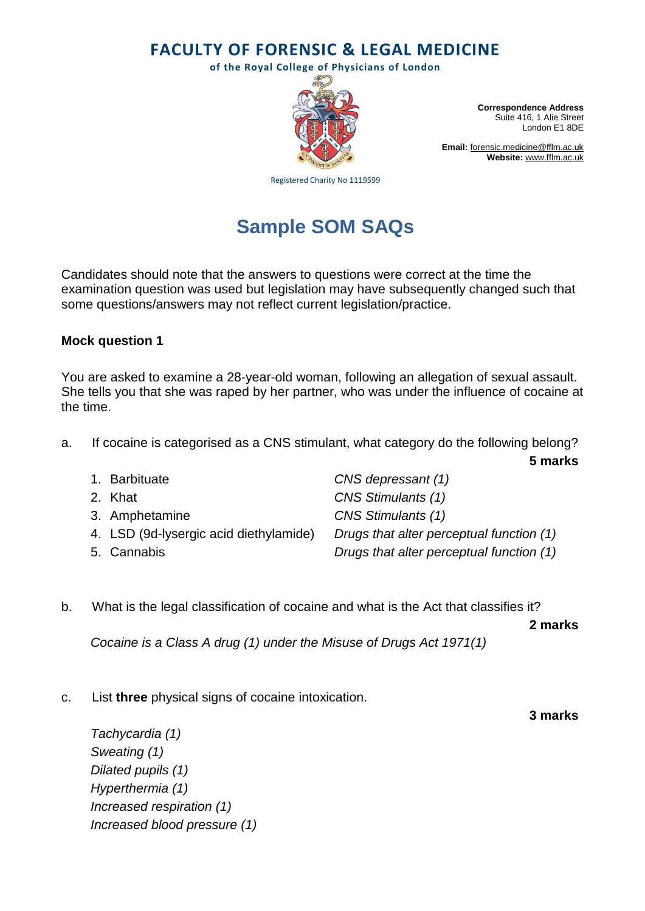**FACULTY OF FORENSIC & LEGAL MEDICINE**

**of the Royal College of Physicians of London**



**Correspondence Address** Suite 416, 1 Alie Street London E1 8DE

**Email:** [forensic.medicine@fflm.ac.uk](mailto:forensic.medicine@fflm.ac.uk) **Website:** [www.fflm.ac.uk](http://www.fflm.ac.uk/)

Registered Charity No 1119599

# **Sample SOM SAQs**

Candidates should note that the answers to questions were correct at the time the examination question was used but legislation may have subsequently changed such that some questions/answers may not reflect current legislation/practice.

## **Mock question 1**

You are asked to examine a 28-year-old woman, following an allegation of sexual assault. She tells you that she was raped by her partner, who was under the influence of cocaine at the time.

a. If cocaine is categorised as a CNS stimulant, what category do the following belong? **5 marks**

| 1. Barbituate                          | CNS depressant (1)                       |
|----------------------------------------|------------------------------------------|
| 2. Khat                                | <b>CNS Stimulants (1)</b>                |
| 3. Amphetamine                         | CNS Stimulants (1)                       |
| 4. LSD (9d-lysergic acid diethylamide) | Drugs that alter perceptual function (1) |
| 5. Cannabis                            | Drugs that alter perceptual function (1) |

b. What is the legal classification of cocaine and what is the Act that classifies it?

**2 marks**

*Cocaine is a Class A drug (1) under the Misuse of Drugs Act 1971(1)*

c. List **three** physical signs of cocaine intoxication.

**3 marks**

*Tachycardia (1) Sweating (1) Dilated pupils (1) Hyperthermia (1) Increased respiration (1) Increased blood pressure (1)*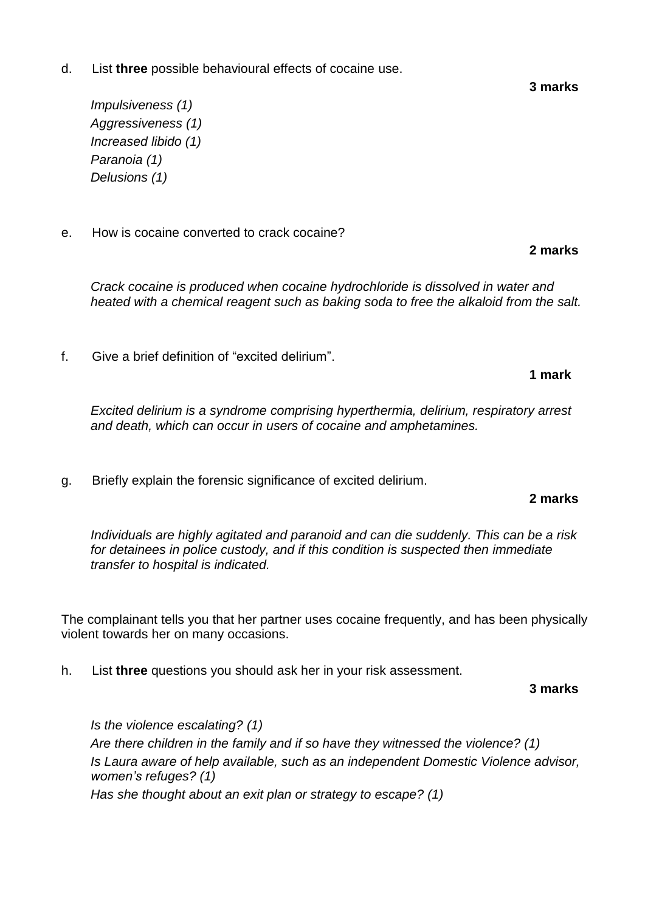d. List **three** possible behavioural effects of cocaine use.

*Impulsiveness (1) Aggressiveness (1) Increased libido (1) Paranoia (1) Delusions (1)*

e. How is cocaine converted to crack cocaine?

*Crack cocaine is produced when cocaine hydrochloride is dissolved in water and heated with a chemical reagent such as baking soda to free the alkaloid from the salt.*

f. Give a brief definition of "excited delirium".

*Excited delirium is a syndrome comprising hyperthermia, delirium, respiratory arrest and death, which can occur in users of cocaine and amphetamines.*

g. Briefly explain the forensic significance of excited delirium.

### **2 marks**

*Individuals are highly agitated and paranoid and can die suddenly. This can be a risk for detainees in police custody, and if this condition is suspected then immediate transfer to hospital is indicated.*

The complainant tells you that her partner uses cocaine frequently, and has been physically violent towards her on many occasions.

h. List **three** questions you should ask her in your risk assessment.

**3 marks**

*Is the violence escalating? (1) Are there children in the family and if so have they witnessed the violence? (1) Is Laura aware of help available, such as an independent Domestic Violence advisor, women's refuges? (1) Has she thought about an exit plan or strategy to escape? (1)*

**3 marks**

**1 mark**

**2 marks**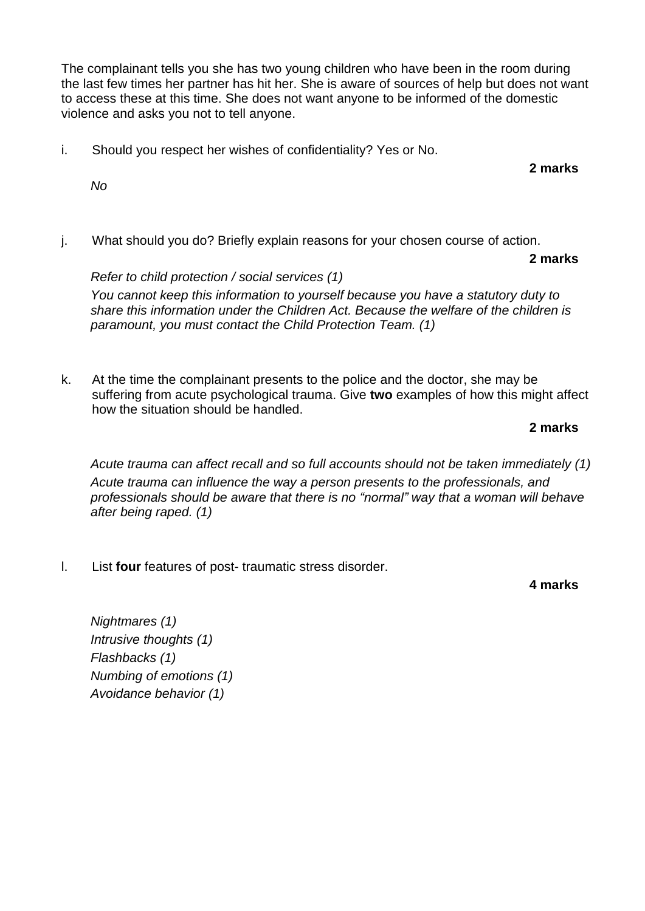The complainant tells you she has two young children who have been in the room during the last few times her partner has hit her. She is aware of sources of help but does not want to access these at this time. She does not want anyone to be informed of the domestic violence and asks you not to tell anyone.

i. Should you respect her wishes of confidentiality? Yes or No.

**2 marks**

*No*

j. What should you do? Briefly explain reasons for your chosen course of action.

**2 marks**

*Refer to child protection / social services (1) You cannot keep this information to yourself because you have a statutory duty to share this information under the Children Act. Because the welfare of the children is paramount, you must contact the Child Protection Team. (1)*

k. At the time the complainant presents to the police and the doctor, she may be suffering from acute psychological trauma. Give **two** examples of how this might affect how the situation should be handled.

## **2 marks**

*Acute trauma can affect recall and so full accounts should not be taken immediately (1) Acute trauma can influence the way a person presents to the professionals, and professionals should be aware that there is no "normal" way that a woman will behave after being raped. (1)*

l. List **four** features of post- traumatic stress disorder.

**4 marks**

*Nightmares (1) Intrusive thoughts (1) Flashbacks (1) Numbing of emotions (1) Avoidance behavior (1)*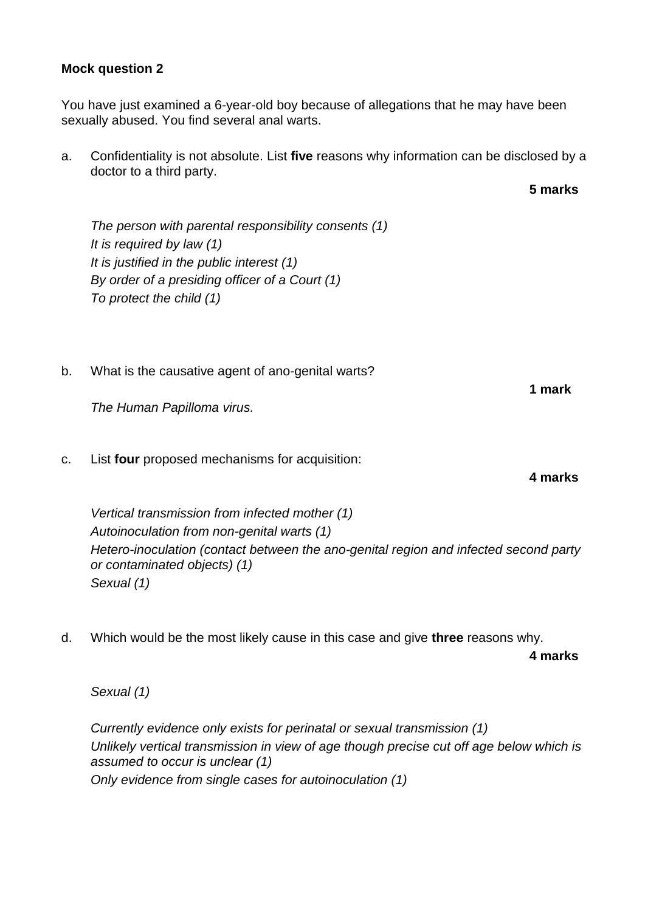## **Mock question 2**

You have just examined a 6-year-old boy because of allegations that he may have been sexually abused. You find several anal warts.

a. Confidentiality is not absolute. List **five** reasons why information can be disclosed by a doctor to a third party.

*The person with parental responsibility consents (1) It is required by law (1) It is justified in the public interest (1) By order of a presiding officer of a Court (1) To protect the child (1)*

b. What is the causative agent of ano-genital warts?

*The Human Papilloma virus.*

c. List **four** proposed mechanisms for acquisition:

*Vertical transmission from infected mother (1) Autoinoculation from non-genital warts (1) Hetero-inoculation (contact between the ano-genital region and infected second party or contaminated objects) (1) Sexual (1)*

d. Which would be the most likely cause in this case and give **three** reasons why.

**4 marks**

*Sexual (1)*

*Currently evidence only exists for perinatal or sexual transmission (1) Unlikely vertical transmission in view of age though precise cut off age below which is assumed to occur is unclear (1) Only evidence from single cases for autoinoculation (1)*

**1 mark**

**4 marks**

**5 marks**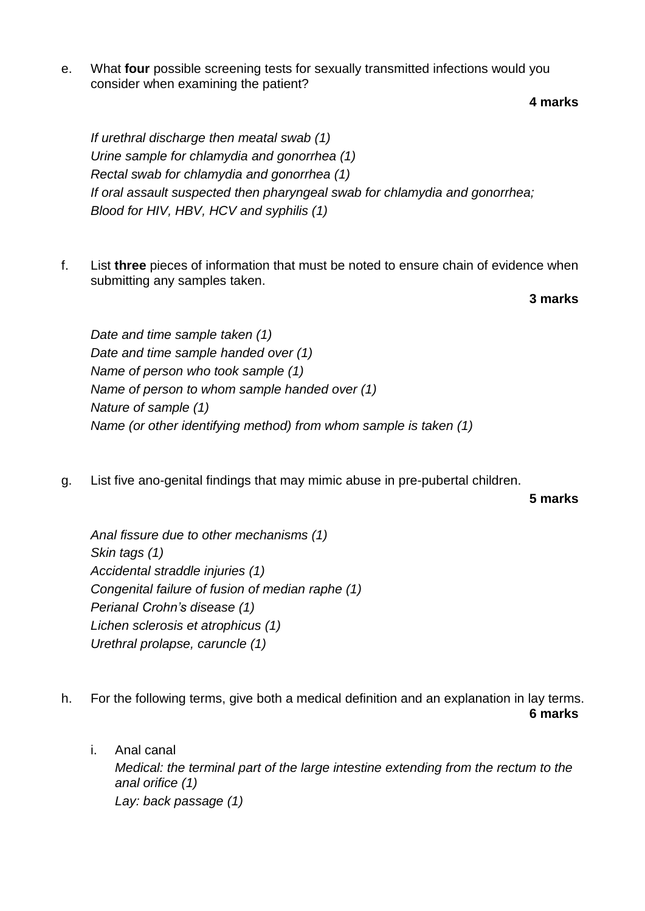e. What **four** possible screening tests for sexually transmitted infections would you consider when examining the patient?

**4 marks**

*If urethral discharge then meatal swab (1) Urine sample for chlamydia and gonorrhea (1) Rectal swab for chlamydia and gonorrhea (1) If oral assault suspected then pharyngeal swab for chlamydia and gonorrhea; Blood for HIV, HBV, HCV and syphilis (1)*

f. List **three** pieces of information that must be noted to ensure chain of evidence when submitting any samples taken.

**3 marks**

*Date and time sample taken (1) Date and time sample handed over (1) Name of person who took sample (1) Name of person to whom sample handed over (1) Nature of sample (1) Name (or other identifying method) from whom sample is taken (1)*

g. List five ano-genital findings that may mimic abuse in pre-pubertal children.

**5 marks**

*Anal fissure due to other mechanisms (1) Skin tags (1) Accidental straddle injuries (1) Congenital failure of fusion of median raphe (1) Perianal Crohn's disease (1) Lichen sclerosis et atrophicus (1) Urethral prolapse, caruncle (1)*

- h. For the following terms, give both a medical definition and an explanation in lay terms. **6 marks**
	- i. Anal canal *Medical: the terminal part of the large intestine extending from the rectum to the anal orifice (1) Lay: back passage (1)*